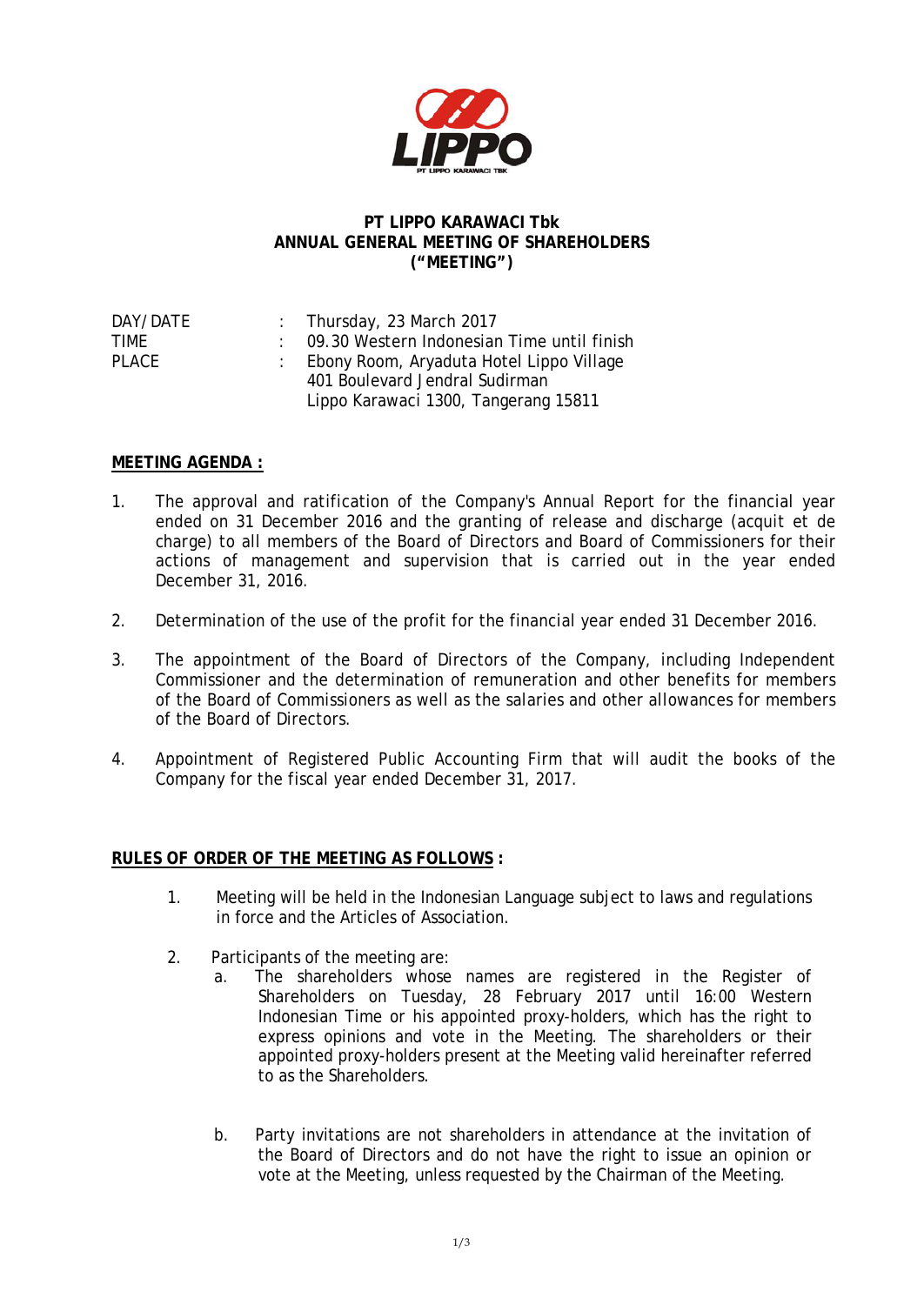

## **PT LIPPO KARAWACI Tbk ANNUAL GENERAL MEETING OF SHAREHOLDERS ("MEETING")**

| DAY/DATE | : Thursday, 23 March 2017                    |
|----------|----------------------------------------------|
| TIMF     | : 09.30 Western Indonesian Time until finish |
| PLACE    | Ebony Room, Aryaduta Hotel Lippo Village     |
|          | 401 Boulevard Jendral Sudirman               |
|          | Lippo Karawaci 1300, Tangerang 15811         |

## **MEETING AGENDA :**

- 1. The approval and ratification of the Company's Annual Report for the financial year ended on 31 December 2016 and the granting of release and discharge (*acquit et de charge*) to all members of the Board of Directors and Board of Commissioners for their actions of management and supervision that is carried out in the year ended December 31, 2016.
- 2. Determination of the use of the profit for the financial year ended 31 December 2016.
- 3. The appointment of the Board of Directors of the Company, including Independent Commissioner and the determination of remuneration and other benefits for members of the Board of Commissioners as well as the salaries and other allowances for members of the Board of Directors.
- 4. Appointment of Registered Public Accounting Firm that will audit the books of the Company for the fiscal year ended December 31, 2017.

## **RULES OF ORDER OF THE MEETING AS FOLLOWS :**

- 1. Meeting will be held in the Indonesian Language subject to laws and regulations in force and the Articles of Association.
- 2. Participants of the meeting are:
	- a. The shareholders whose names are registered in the Register of Shareholders on Tuesday, 28 February 2017 until 16:00 Western Indonesian Time or his appointed proxy-holders, which has the right to express opinions and vote in the Meeting. The shareholders or their appointed proxy-holders present at the Meeting valid hereinafter referred to as the Shareholders.
	- b. Party invitations are not shareholders in attendance at the invitation of the Board of Directors and do not have the right to issue an opinion or vote at the Meeting, unless requested by the Chairman of the Meeting.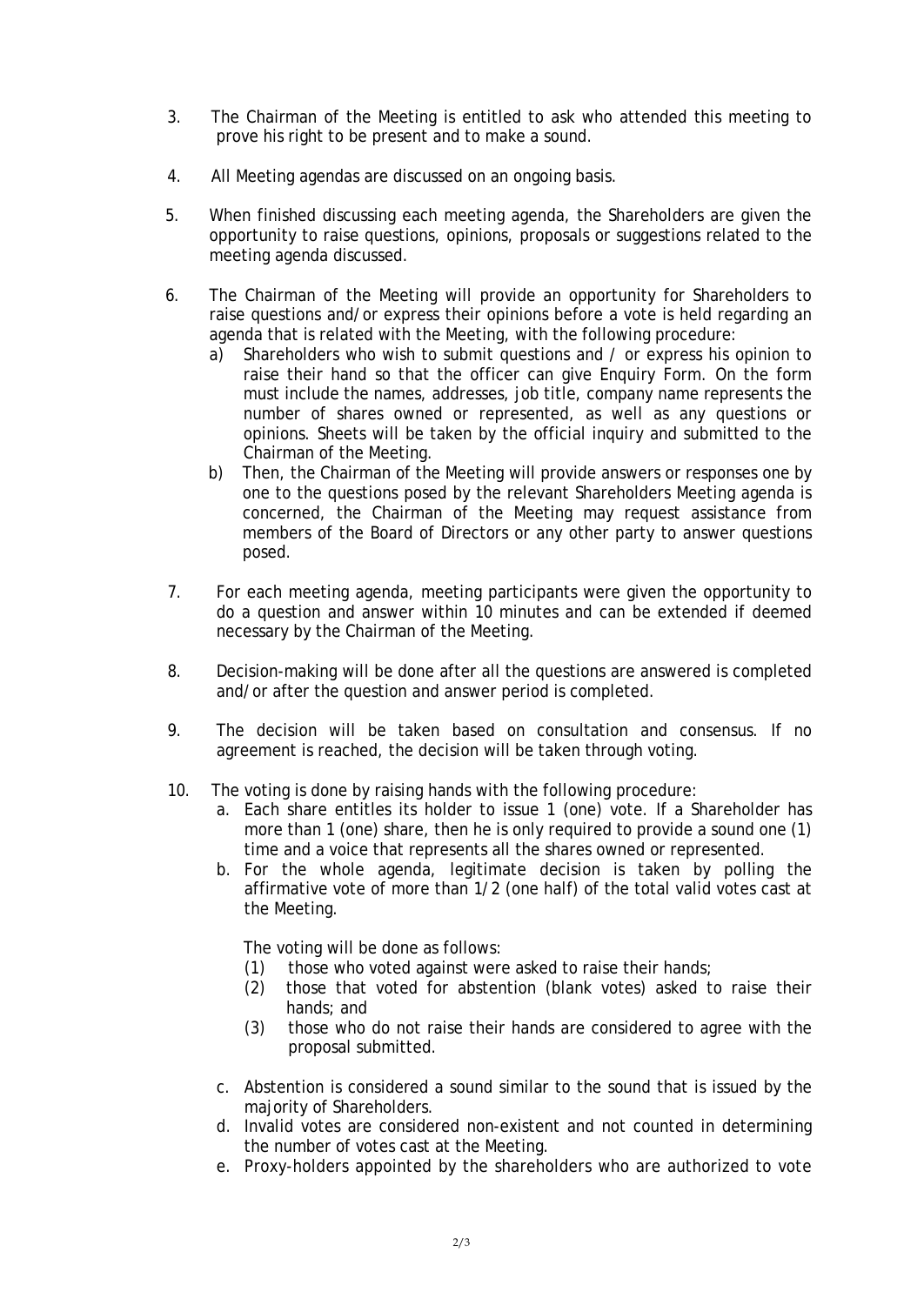- 3. The Chairman of the Meeting is entitled to ask who attended this meeting to prove his right to be present and to make a sound.
- 4. All Meeting agendas are discussed on an ongoing basis.
- 5. When finished discussing each meeting agenda, the Shareholders are given the opportunity to raise questions, opinions, proposals or suggestions related to the meeting agenda discussed.
- 6. The Chairman of the Meeting will provide an opportunity for Shareholders to raise questions and/or express their opinions before a vote is held regarding an agenda that is related with the Meeting, with the following procedure:
	- a) Shareholders who wish to submit questions and / or express his opinion to raise their hand so that the officer can give Enquiry Form. On the form must include the names, addresses, job title, company name represents the number of shares owned or represented, as well as any questions or opinions. Sheets will be taken by the official inquiry and submitted to the Chairman of the Meeting.
	- b) Then, the Chairman of the Meeting will provide answers or responses one by one to the questions posed by the relevant Shareholders Meeting agenda is concerned, the Chairman of the Meeting may request assistance from members of the Board of Directors or any other party to answer questions posed.
- 7. For each meeting agenda, meeting participants were given the opportunity to do a question and answer within 10 minutes and can be extended if deemed necessary by the Chairman of the Meeting.
- 8. Decision-making will be done after all the questions are answered is completed and/or after the question and answer period is completed.
- 9. The decision will be taken based on consultation and consensus. If no agreement is reached, the decision will be taken through voting.
- 10. The voting is done by raising hands with the following procedure:
	- a. Each share entitles its holder to issue 1 (one) vote. If a Shareholder has more than 1 (one) share, then he is only required to provide a sound one (1) time and a voice that represents all the shares owned or represented.
	- b. For the whole agenda, legitimate decision is taken by polling the affirmative vote of more than 1/2 (one half) of the total valid votes cast at the Meeting.

The voting will be done as follows:

- (1) those who voted against were asked to raise their hands;
- (2) those that voted for abstention (blank votes) asked to raise their hands; and
- (3) those who do not raise their hands are considered to agree with the proposal submitted.
- c. Abstention is considered a sound similar to the sound that is issued by the majority of Shareholders.
- d. Invalid votes are considered non-existent and not counted in determining the number of votes cast at the Meeting.
- e. Proxy-holders appointed by the shareholders who are authorized to vote